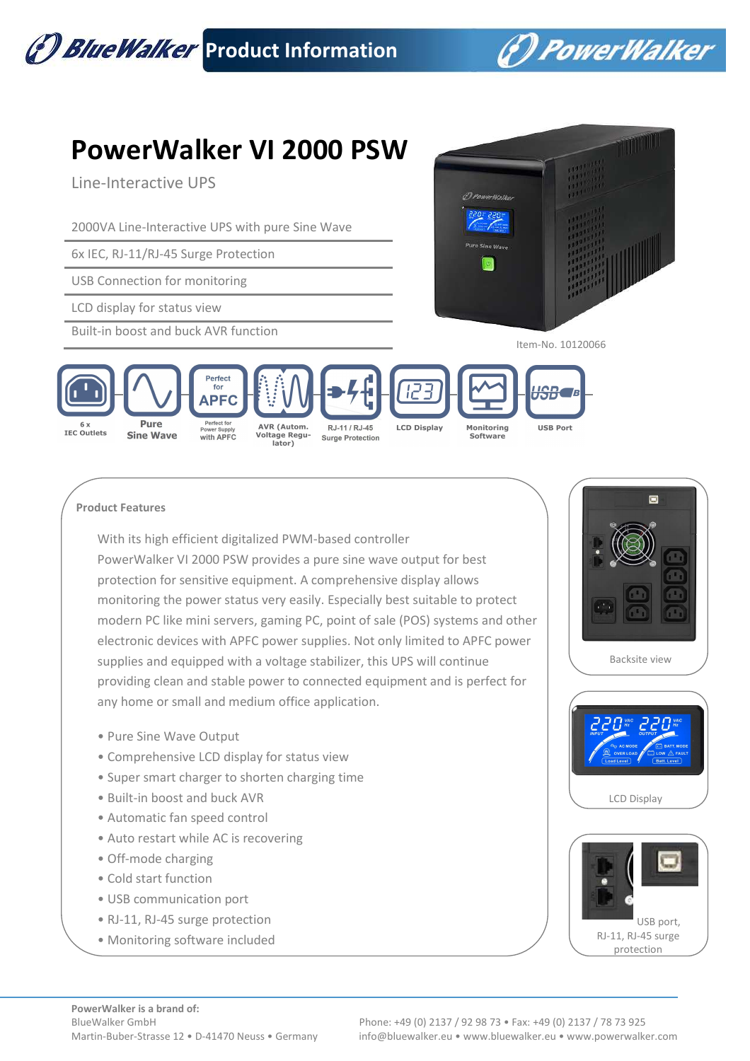

## **Product Features**

With its high efficient digitalized PWM-based controller PowerWalker VI 2000 PSW provides a pure sine wave output for best protection for sensitive equipment. A comprehensive display allows monitoring the power status very easily. Especially best suitable to protect modern PC like mini servers, gaming PC, point of sale (POS) systems and other electronic devices with APFC power supplies. Not only limited to APFC power supplies and equipped with a voltage stabilizer, this UPS will continue providing clean and stable power to connected equipment and is perfect for any home or small and medium office application.

- Pure Sine Wave Output
- Comprehensive LCD display for status view
- Super smart charger to shorten charging time
- Built-in boost and buck AVR
- Automatic fan speed control
- Auto restart while AC is recovering
- Off-mode charging
- Cold start function
- USB communication port
- RJ-11, RJ-45 surge protection
- Monitoring software included